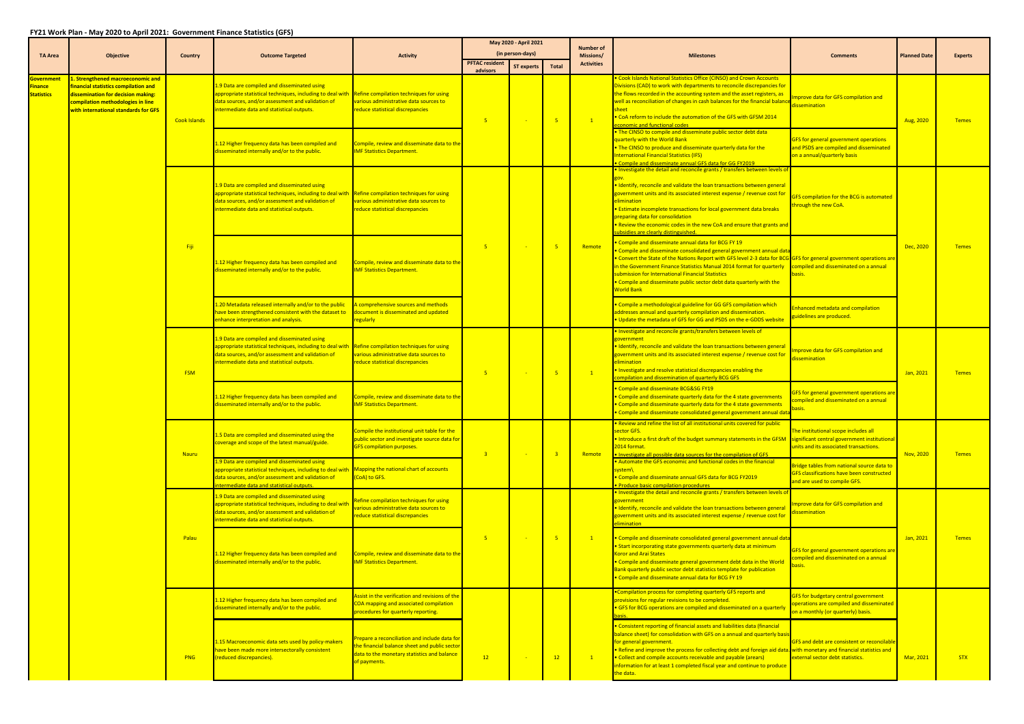## **FY21 Work Plan ‐ May 2020 to April 2021: Government Finance Statistics (GFS)**

|                                                          |                                                                                                                                                                                              |                     |                                                                                                                                                                                                                                                     |                                                                                                                                                               | May 2020 - April 2021             |                                       |                | <b>Number of</b>               |                                                                                                                                                                                                                                                                                                                                                                                                                                                                                                   |                                                                                                                                |                     |                |
|----------------------------------------------------------|----------------------------------------------------------------------------------------------------------------------------------------------------------------------------------------------|---------------------|-----------------------------------------------------------------------------------------------------------------------------------------------------------------------------------------------------------------------------------------------------|---------------------------------------------------------------------------------------------------------------------------------------------------------------|-----------------------------------|---------------------------------------|----------------|--------------------------------|---------------------------------------------------------------------------------------------------------------------------------------------------------------------------------------------------------------------------------------------------------------------------------------------------------------------------------------------------------------------------------------------------------------------------------------------------------------------------------------------------|--------------------------------------------------------------------------------------------------------------------------------|---------------------|----------------|
| <b>TA Area</b>                                           | <b>Objective</b>                                                                                                                                                                             | Country             | <b>Outcome Targeted</b>                                                                                                                                                                                                                             | <b>Activity</b>                                                                                                                                               | <b>PFTAC resident</b><br>advisors | (in person-days)<br><b>ST experts</b> | <b>Total</b>   | Missions/<br><b>Activities</b> | <b>Milestones</b>                                                                                                                                                                                                                                                                                                                                                                                                                                                                                 | <b>Comments</b>                                                                                                                | <b>Planned Date</b> | <b>Experts</b> |
| <u>Government</u><br><u>inance </u><br><b>Statistics</b> | 1. Strengthened macroeconomic and<br>financial statistics compilation and<br>dissemination for decision making:<br>compilation methodologies in line<br>with international standards for GFS | <b>Cook Islands</b> | 1.9 Data are compiled and disseminated using<br>ppropriate statistical techniques, including to deal with Refine compilation techniques for using<br>data sources, and/or assessment and validation of<br>ntermediate data and statistical outputs. | various administrative data sources to<br>reduce statistical discrepancies                                                                                    | $-5$                              |                                       |                | $\overline{1}$                 | Cook Islands National Statistics Office (CINSO) and Crown Accounts<br>Divisions (CAD) to work with departments to reconcile discrepancies for<br>the flows recorded in the accounting system and the asset registers, as<br>well as reconciliation of changes in cash balances for the financial balanc<br>sheet<br>. CoA reform to include the automation of the GFS with GFSM 2014<br>conomic and functional codes                                                                              | nprove data for GFS compilation and<br>issemination                                                                            | Aug, 2020           | <b>Temes</b>   |
|                                                          |                                                                                                                                                                                              |                     | 12 Higher frequency data has been compiled and<br>lisseminated internally and/or to the public.                                                                                                                                                     | Compile, review and disseminate data to the<br><b>IMF Statistics Department.</b>                                                                              |                                   |                                       |                |                                | . The CINSO to compile and disseminate public sector debt data<br>quarterly with the World Bank<br>• The CINSO to produce and disseminate quarterly data for the<br>nternational Financial Statistics (IFS)<br>Compile and disseminate annual GFS data for GG FY2019                                                                                                                                                                                                                              | <b>GFS for general government operations</b><br>and PSDS are compiled and disseminated<br>on a annual/quarterly basis          |                     |                |
|                                                          |                                                                                                                                                                                              | Fiji                | 9 Data are compiled and disseminated using<br>ppropriate statistical techniques, including to deal with Refine compilation techniques for using<br>lata sources, and/or assessment and validation of<br>ntermediate data and statistical outputs.   | various administrative data sources to<br>reduce statistical discrepancies                                                                                    |                                   |                                       |                |                                | $\bullet$ Investigate the detail and reconcile grants / transfers between levels o<br>Identify, reconcile and validate the loan transactions between general<br>overnment units and its associated interest expense / revenue cost for<br>elimination<br><b>Estimate incomplete transactions for local government data breaks</b><br>preparing data for consolidation<br><b>Review the economic codes in the new CoA and ensure that grants and</b><br><u>ibsidies are clearly distinguished.</u> | GFS compilation for the BCG is automated<br>through the new CoA.                                                               |                     | <b>Temes</b>   |
|                                                          |                                                                                                                                                                                              |                     | 12 Higher frequency data has been compiled and<br>lisseminated internally and/or to the public.                                                                                                                                                     | Compile, review and disseminate data to the<br><b>IMF Statistics Department.</b>                                                                              | $-5$                              |                                       |                | Remote                         | Compile and disseminate annual data for BCG FY 19<br>Compile and disseminate consolidated general government annual data<br>Convert the State of the Nations Report with GFS level 2-3 data for BCG GFS for general government operations are<br>n the Government Finance Statistics Manual 2014 format for quarterly<br>submission for International Financial Statistics<br>Compile and disseminate public sector debt data quarterly with the<br><b>Norld Bank</b>                             | compiled and disseminated on a annual<br>asis.                                                                                 | Dec, 2020           |                |
|                                                          |                                                                                                                                                                                              |                     | 20 Metadata released internally and/or to the public<br>ave been strengthened consistent with the dataset to<br>nhance interpretation and analysis.                                                                                                 | Comprehensive sources and methods<br>document is disseminated and updated<br>regularly                                                                        |                                   |                                       |                |                                | Compile a methodological guideline for GG GFS compilation which<br>addresses annual and quarterly compilation and dissemination.<br>Update the metadata of GFS for GG and PSDS on the e-GDDS website                                                                                                                                                                                                                                                                                              | <b>Enhanced metadata and compilation</b><br>guidelines are produced.                                                           |                     |                |
|                                                          |                                                                                                                                                                                              | <b>FSM</b>          | 1.9 Data are compiled and disseminated using<br>ppropriate statistical techniques, including to deal with Refine compilation techniques for using<br>lata sources, and/or assessment and validation of<br>ntermediate data and statistical outputs. | various administrative data sources to<br>educe statistical discrepancies                                                                                     | $-5$                              |                                       | -5.            | $\sqrt{1}$                     | Investigate and reconcile grants/transfers between levels of<br><u>government</u><br>Identify, reconcile and validate the loan transactions between general<br>government units and its associated interest expense / revenue cost for<br><u>elimination</u><br>Investigate and resolve statistical discrepancies enabling the<br>mpilation and dissemination of quarterly BCG GFS                                                                                                                | nprove data for GFS compilation and<br><i>issemination</i>                                                                     | Jan, 2021           | <b>Temes</b>   |
|                                                          |                                                                                                                                                                                              |                     | 12 Higher frequency data has been compiled and<br>lisseminated internally and/or to the public.                                                                                                                                                     | Compile, review and disseminate data to the<br><b>IMF Statistics Department.</b>                                                                              |                                   |                                       |                |                                | Compile and disseminate BCG&SG FY19<br>Compile and disseminate quarterly data for the 4 state governments<br>Compile and disseminate quarterly data for the 4 state governments<br>Compile and disseminate consolidated general government annual dat                                                                                                                                                                                                                                             | <b>GFS for general government operations are</b><br>ompiled and disseminated on a annual<br><u>pasis</u>                       |                     |                |
|                                                          |                                                                                                                                                                                              | Nauru               | 5 Data are compiled and disseminated using the<br>coverage and scope of the latest manual/guide.                                                                                                                                                    | Compile the institutional unit table for the<br><b>public sector and investigate source data for</b><br><b>GFS compilation purposes.</b>                      | 3 <sup>2</sup>                    |                                       | $\overline{3}$ | Remote                         | $\bullet$ Review and refine the list of all institutional units covered for public.<br>ector GFS.<br>Introduce a first draft of the budget summary statements in the GFSM significant central government institutional<br>2014 format.<br>. Investigate all possible data sources for the compilation of GFS                                                                                                                                                                                      | The institutional scope includes all<br>units and its associated transactions.                                                 | Nov, 2020           | <b>Temes</b>   |
|                                                          |                                                                                                                                                                                              |                     | 9 Data are compiled and disseminated using<br>appropriate statistical techniques, including to deal with Mapping the national chart of accounts<br>data sources, and/or assessment and validation of<br>ntermediate data and statistical outputs.   | (CoA) to GFS.                                                                                                                                                 |                                   |                                       |                |                                | Automate the GFS economic and functional codes in the financial<br>system\<br>Compile and disseminate annual GFS data for BCG FY2019<br><b>Produce basic compilation procedures</b>                                                                                                                                                                                                                                                                                                               | Bridge tables from national source data to<br><b>GFS classifications have been constructed</b><br>and are used to compile GFS. |                     |                |
|                                                          |                                                                                                                                                                                              | Palau               | 9 Data are compiled and disseminated using<br>ppropriate statistical techniques, including to deal with<br>lata sources, and/or assessment and validation of<br>ntermediate data and statistical outputs.                                           | Refine compilation techniques for using<br>various administrative data sources to<br>reduce statistical discrepancies                                         | $-5$                              |                                       |                |                                | <b>• Investigate the detail and reconcile grants / transfers between levels of</b><br>government<br>Identify, reconcile and validate the loan transactions between general<br>government units and its associated interest expense / revenue cost for<br><b>limination</b>                                                                                                                                                                                                                        | nprove data for GFS compilation and<br>ssemination                                                                             | Jan, 2021           | <b>Temes</b>   |
|                                                          |                                                                                                                                                                                              |                     | 12 Higher frequency data has been compiled and<br>disseminated internally and/or to the public.                                                                                                                                                     | Compile, review and disseminate data to the<br><b>IMF Statistics Department.</b>                                                                              |                                   |                                       |                | $\mathbf{1}$                   | • Compile and disseminate consolidated general government annual data<br><b>Start incorporating state governments quarterly data at minimum</b><br>Koror and Arai States<br>. Compile and disseminate general government debt data in the World<br>Bank quarterly public sector debt statistics template for publication<br>Compile and disseminate annual data for BCG FY 19                                                                                                                     | GFS for general government operations are<br>ompiled and disseminated on a annual                                              |                     |                |
|                                                          |                                                                                                                                                                                              |                     | 12 Higher frequency data has been compiled and<br>lisseminated internally and/or to the public.                                                                                                                                                     | Assist in the verification and revisions of the<br>COA mapping and associated compilation<br>procedures for quarterly reporting.                              |                                   |                                       |                |                                | Compilation process for completing quarterly GFS reports and<br>provisions for regular revisions to be completed.<br>GFS for BCG operations are compiled and disseminated on a quarterly                                                                                                                                                                                                                                                                                                          | <b>GFS for budgetary central government</b><br>operations are compiled and disseminated<br>on a monthly (or quarterly) basis.  |                     |                |
|                                                          |                                                                                                                                                                                              | <b>PNG</b>          | .15 Macroeconomic data sets used by policy-makers<br>ave been made more intersectorally consistent<br>reduced discrepancies).                                                                                                                       | Prepare a reconciliation and include data for<br>the financial balance sheet and public sector<br>data to the monetary statistics and balance<br>of payments. | 12                                |                                       | 12             | $\sqrt{1}$                     | Consistent reporting of financial assets and liabilities data (financial<br>balance sheet) for consolidation with GFS on a annual and quarterly basi<br>for general government.<br>• Refine and improve the process for collecting debt and foreign aid data. with monetary and financial statistics and<br>• Collect and compile accounts receivable and payable (arears)<br>information for at least 1 completed fiscal year and continue to produce<br>the data.                               | <b>GFS and debt are consistent or reconcilable</b><br>external sector debt statistics.                                         | Mar, 2021           | <b>STX</b>     |